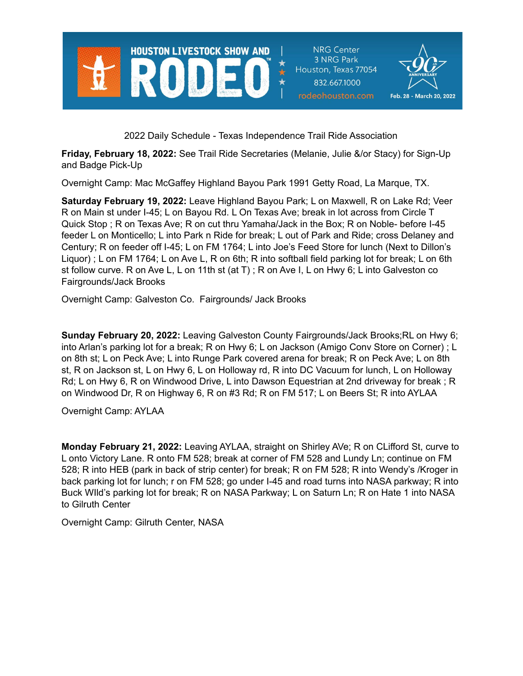

**NRG Center** 3 NRG Park Houston, Texas 77054 832.667.1000 rodeohouston.com



2022 Daily Schedule - Texas Independence Trail Ride Association

**Friday, February 18, 2022:** See Trail Ride Secretaries (Melanie, Julie &/or Stacy) for Sign-Up and Badge Pick-Up

Overnight Camp: Mac McGaffey Highland Bayou Park 1991 Getty Road, La Marque, TX.

**Saturday February 19, 2022:** Leave Highland Bayou Park; L on Maxwell, R on Lake Rd; Veer R on Main st under I-45; L on Bayou Rd. L On Texas Ave; break in lot across from Circle T Quick Stop ; R on Texas Ave; R on cut thru Yamaha/Jack in the Box; R on Noble- before I-45 feeder L on Monticello; L into Park n Ride for break; L out of Park and Ride; cross Delaney and Century; R on feeder off I-45; L on FM 1764; L into Joe's Feed Store for lunch (Next to Dillon's Liquor) ; L on FM 1764; L on Ave L, R on 6th; R into softball field parking lot for break; L on 6th st follow curve. R on Ave L, L on 11th st (at T) ; R on Ave I, L on Hwy 6; L into Galveston co Fairgrounds/Jack Brooks

Overnight Camp: Galveston Co. Fairgrounds/ Jack Brooks

**Sunday February 20, 2022:** Leaving Galveston County Fairgrounds/Jack Brooks;RL on Hwy 6; into Arlan's parking lot for a break; R on Hwy 6; L on Jackson (Amigo Conv Store on Corner) ; L on 8th st; L on Peck Ave; L into Runge Park covered arena for break; R on Peck Ave; L on 8th st, R on Jackson st, L on Hwy 6, L on Holloway rd, R into DC Vacuum for lunch, L on Holloway Rd; L on Hwy 6, R on Windwood Drive, L into Dawson Equestrian at 2nd driveway for break ; R on Windwood Dr, R on Highway 6, R on #3 Rd; R on FM 517; L on Beers St; R into AYLAA

Overnight Camp: AYLAA

**Monday February 21, 2022:** Leaving AYLAA, straight on Shirley AVe; R on CLifford St, curve to L onto Victory Lane. R onto FM 528; break at corner of FM 528 and Lundy Ln; continue on FM 528; R into HEB (park in back of strip center) for break; R on FM 528; R into Wendy's /Kroger in back parking lot for lunch; r on FM 528; go under I-45 and road turns into NASA parkway; R into Buck WIld's parking lot for break; R on NASA Parkway; L on Saturn Ln; R on Hate 1 into NASA to Gilruth Center

Overnight Camp: Gilruth Center, NASA